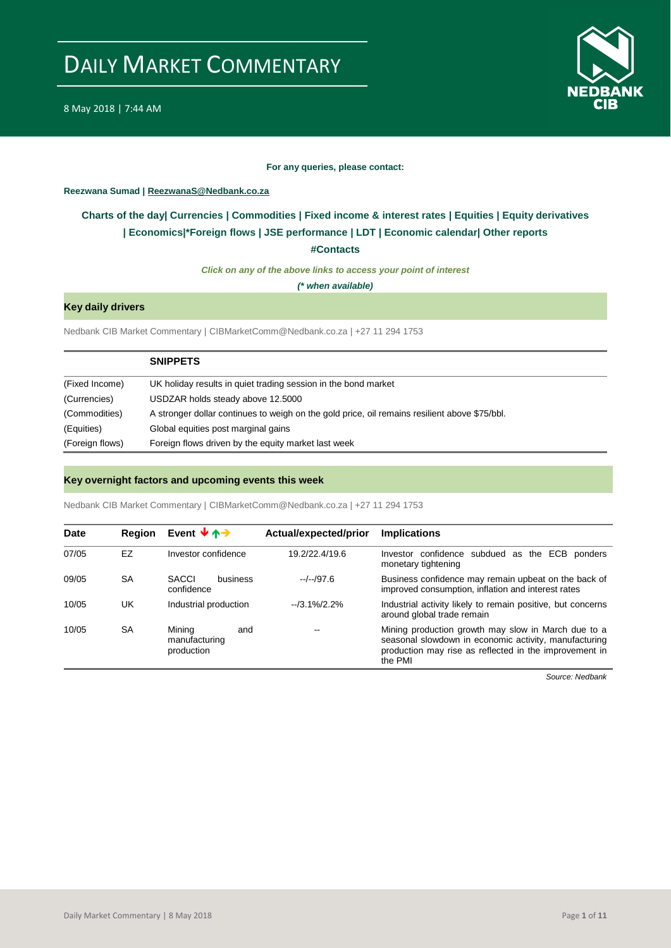

#### **For any queries, please contact:**

#### <span id="page-0-0"></span>**Reezwana Sumad | ReezwanaS@Nedbank.co.za**

## **Charts of the day| [Currencies](#page-2-0) [| Commodities](#page-3-0) | [Fixed income &](#page-1-0) interest rates | [Equities](#page-4-0) | Equity derivatives | Economics|[\\*Foreign flows](#page-7-0) [| JSE performance](#page-4-1) | [LDT](#page-5-0) | [Economic calendar|](#page-8-0) Other reports**

**[#Contacts](#page-9-0)**

*Click on any of the above links to access your point of interest*

*(\* when available)*

#### **Key daily drivers**

Nedbank CIB Market Commentary | CIBMarketComm@Nedbank.co.za | +27 11 294 1753

|                 | <b>SNIPPETS</b>                                                                               |
|-----------------|-----------------------------------------------------------------------------------------------|
| (Fixed Income)  | UK holiday results in quiet trading session in the bond market                                |
| (Currencies)    | USDZAR holds steady above 12.5000                                                             |
| (Commodities)   | A stronger dollar continues to weigh on the gold price, oil remains resilient above \$75/bbl. |
| (Equities)      | Global equities post marginal gains                                                           |
| (Foreign flows) | Foreign flows driven by the equity market last week                                           |

#### **Key overnight factors and upcoming events this week**

Nedbank CIB Market Commentary | CIBMarketComm@Nedbank.co.za | +27 11 294 1753

| Date  | <b>Region</b> | Event $\forall$ $\uparrow$ $\rightarrow$     | Actual/expected/prior | <b>Implications</b>                                                                                                                                                               |
|-------|---------------|----------------------------------------------|-----------------------|-----------------------------------------------------------------------------------------------------------------------------------------------------------------------------------|
| 07/05 | EZ            | Investor confidence                          | 19.2/22.4/19.6        | Investor confidence subdued as the ECB<br>ponders<br>monetary tightening                                                                                                          |
| 09/05 | <b>SA</b>     | <b>SACCI</b><br>business<br>confidence       | $-/-/97.6$            | Business confidence may remain upbeat on the back of<br>improved consumption, inflation and interest rates                                                                        |
| 10/05 | UK            | Industrial production                        | $-13.1\%/2.2\%$       | Industrial activity likely to remain positive, but concerns<br>around global trade remain                                                                                         |
| 10/05 | <b>SA</b>     | Minina<br>and<br>manufacturing<br>production | --                    | Mining production growth may slow in March due to a<br>seasonal slowdown in economic activity, manufacturing<br>production may rise as reflected in the improvement in<br>the PMI |

*Source: Nedbank*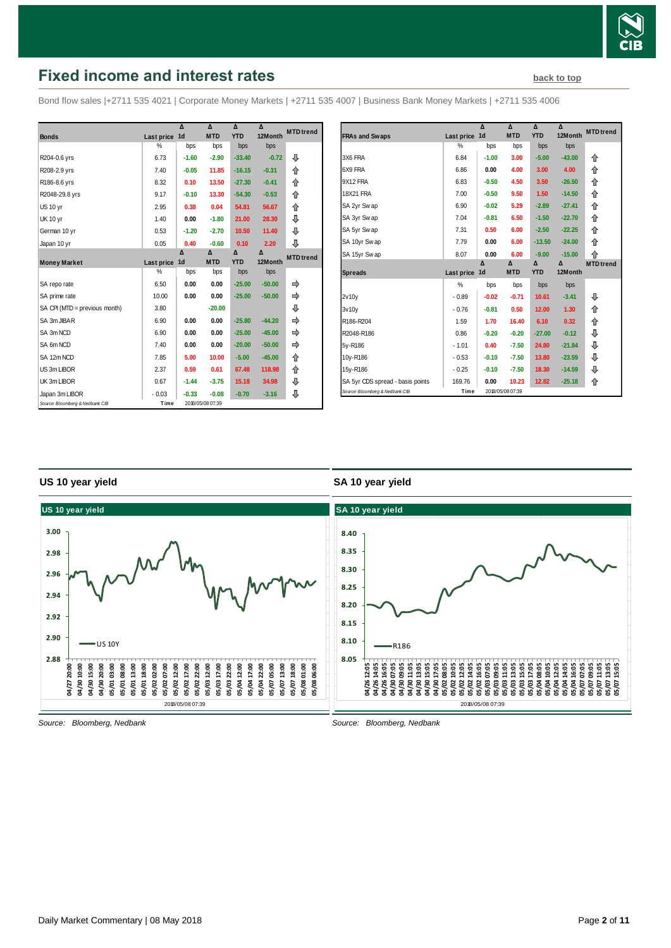

# <span id="page-1-0"></span>**Fixed income and interest rates [back to top](#page-0-0) back to top**

Bond flow sales |+2711 535 4021 | Corporate Money Markets | +2711 535 4007 | Business Bank Money Markets | +2711 535 4006

|                                 |               | Δ              | $\lambda$        | $\Lambda$  | $\Lambda$ | <b>MTD</b> trend |
|---------------------------------|---------------|----------------|------------------|------------|-----------|------------------|
| <b>Bonds</b>                    | Last price    | 1 <sub>d</sub> | <b>MTD</b>       | <b>YTD</b> | 12Month   |                  |
|                                 | $\frac{0}{2}$ | bps            | bps              | bps        | bps       |                  |
| R204-0.6 yrs                    | 6.73          | $-1.60$        | $-2.90$          | $-33.40$   | $-0.72$   | ⊕                |
| R208-2.9 yrs                    | 7.40          | $-0.05$        | 11.85            | $-16.15$   | $-0.31$   | 合                |
| R186-8.6 yrs                    | 8.32          | 0.10           | 13.50            | $-27.30$   | $-0.41$   | ⇑                |
| R2048-29.8 yrs                  | 9.17          | $-0.10$        | 13.30            | $-54.30$   | $-0.53$   | ⇑                |
| <b>US 10 yr</b>                 | 2.95          | 0.38           | 0.04             | 54.81      | 56.67     | 合                |
| <b>UK 10 yr</b>                 | 1.40          | 0.00           | $-1.80$          | 21.00      | 28.30     | ⊕                |
| German 10 yr                    | 0.53          | $-1.20$        | $-2.70$          | 10.50      | 11.40     | ⊕                |
| Japan 10 yr                     | 0.05          | 0.40           | $-0.60$          | 0.10       | 2.20      | ⊕                |
|                                 |               | Δ              | Δ                | Δ          | Δ         | <b>MTD</b> trend |
| <b>Money Market</b>             | Last price    | 1 <sub>d</sub> | <b>MTD</b>       | <b>YTD</b> | 12Month   |                  |
|                                 | %             | bps            | bps              | bps        | bps       |                  |
| SA repo rate                    | 6.50          | 0.00           | 0.00             | $-25.00$   | $-50.00$  | ⇛                |
| SA prime rate                   | 10.00         | 0.00           | 0.00             | $-25.00$   | $-50.00$  | ⇛                |
| SA CPI (MTD = previous month)   | 3.80          |                | $-20.00$         |            |           | ⊕                |
| SA 3m JIBAR                     | 6.90          | 0.00           | 0.00             | $-25.80$   | $-44.20$  |                  |
| SA 3m NCD                       | 6.90          | 0.00           | 0.00             | $-25.00$   | $-45.00$  |                  |
| SA 6m NCD                       | 7.40          | 0.00           | 0.00             | $-20.00$   | $-50.00$  | ⇛                |
| SA 12m NCD                      | 7.85          | 5.00           | 10.00            | $-5.00$    | $-45.00$  | 合                |
| US 3m LIBOR                     | 2.37          | 0.59           | 0.61             | 67.48      | 118.98    | ⇑                |
| UK 3m LIBOR                     | 0.67          | $-1.44$        | $-3.75$          | 15.18      | 34.98     | ⊕                |
| Japan 3m LIBOR                  | $-0.03$       | $-0.33$        | $-0.08$          | $-0.70$    | $-3.16$   | ⊕                |
| Source: Bloomberg & Nedbank CIB | Time          |                | 2018/05/08 07:39 |            |           |                  |

|                                  |            | Δ              | Δ          | Δ          | Δ        | <b>MTD</b> trend |
|----------------------------------|------------|----------------|------------|------------|----------|------------------|
| <b>FRAs and Swaps</b>            | Last price | 1 <sub>d</sub> | <b>MTD</b> | <b>YTD</b> | 12Month  |                  |
|                                  | $\%$       | bps            | bps        | bps        | bps      |                  |
| 3X6 FRA                          | 6.84       | $-1.00$        | 3.00       | $-5.00$    | $-43.00$ | ⇑                |
| 6X9 FRA                          | 6.86       | 0.00           | 4.00       | 3.00       | 4.00     | 仐                |
| 9X12 FRA                         | 6.83       | $-0.50$        | 4.50       | 3.50       | $-26.50$ | 仐                |
| <b>18X21 FRA</b>                 | 7.00       | $-0.50$        | 9.50       | 1.50       | $-14.50$ | 合                |
| SA 2yr Swap                      | 6.90       | $-0.02$        | 5.29       | $-2.89$    | $-27.41$ | ⇑                |
| SA 3yr Swap                      | 7.04       | $-0.81$        | 6.50       | $-1.50$    | $-22.70$ | ⇑                |
| SA 5yr Swap                      | 7.31       | 0.50           | 6.00       | $-2.50$    | $-22.25$ | ⇑                |
| SA 10yr Swap                     | 7.79       | 0.00           | 6.00       | $-13.50$   | $-24.00$ | ⇑                |
| SA 15yr Swap                     | 8.07       | 0.00           | 6.00       | $-9.00$    | $-15.00$ | ⇑                |
|                                  |            | Δ              | Δ          | Δ          | Δ        | <b>MTD</b> trend |
| <b>Spreads</b>                   | Last price | 1d             | <b>MTD</b> | <b>YTD</b> | 12Month  |                  |
|                                  | %          | bps            | bps        | bps        | bps      |                  |
| 2v10v                            | $-0.89$    | $-0.02$        | $-0.71$    | 10.61      | $-3.41$  | ⊕                |
| 3v10v                            | $-0.76$    | $-0.81$        | 0.50       | 12.00      | 1.30     | ⇑                |
| R186-R204                        | 1.59       | 1.70           | 16.40      | 6.10       | 0.32     | 合                |
| R2048-R186                       | 0.86       | $-0.20$        | $-0.20$    | $-27.00$   | $-0.12$  | ⊕                |
| 5y-R186                          | $-1.01$    | 0.40           | $-7.50$    | 24.80      | $-21.84$ | ⊕                |
| 10y-R186                         | $-0.53$    | $-0.10$        | $-7.50$    | 13.80      | $-23.59$ | ⊕                |
| 15y-R186                         | $-0.25$    | $-0.10$        | $-7.50$    | 18.30      | $-14.59$ | ⊕                |
| SA 5yr CDS spread - basis points | 169.76     | 0.00           | 10.23      | 12.82      | $-25.18$ | ⇑                |
|                                  |            |                |            |            |          |                  |

#### **US 10 year yield**

#### **SA 10 year yield**



*Source: Bloomberg, Nedbank*

*Source: Bloomberg, Nedbank*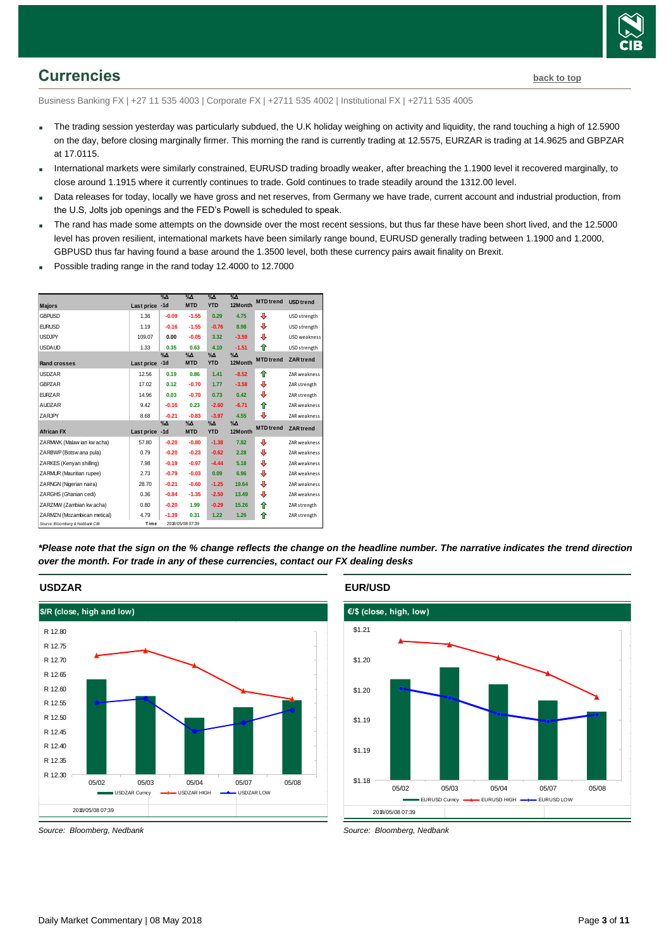

# <span id="page-2-0"></span>**Currencies [back to top](#page-0-0)**

Business Banking FX | +27 11 535 4003 | Corporate FX | +2711 535 4002 | Institutional FX | +2711 535 4005

- The trading session yesterday was particularly subdued, the U.K holiday weighing on activity and liquidity, the rand touching a high of 12.5900 on the day, before closing marginally firmer. This morning the rand is currently trading at 12.5575, EURZAR is trading at 14.9625 and GBPZAR at 17.0115.
- International markets were similarly constrained, EURUSD trading broadly weaker, after breaching the 1.1900 level it recovered marginally, to close around 1.1915 where it currently continues to trade. Gold continues to trade steadily around the 1312.00 level.
- Data releases for today, locally we have gross and net reserves, from Germany we have trade, current account and industrial production, from the U.S, Jolts job openings and the FED's Powell is scheduled to speak.
- The rand has made some attempts on the downside over the most recent sessions, but thus far these have been short lived, and the 12.5000 level has proven resilient, international markets have been similarly range bound, EURUSD generally trading between 1.1900 and 1.2000, GBPUSD thus far having found a base around the 1.3500 level, both these currency pairs await finality on Brexit.
- Possible trading range in the rand today 12.4000 to 12.7000



*\*Please note that the sign on the % change reflects the change on the headline number. The narrative indicates the trend direction over the month. For trade in any of these currencies, contact our FX dealing desks*



**EUR/USD**



*Source: Bloomberg, Nedbank*

*Source: Bloomberg, Nedbank*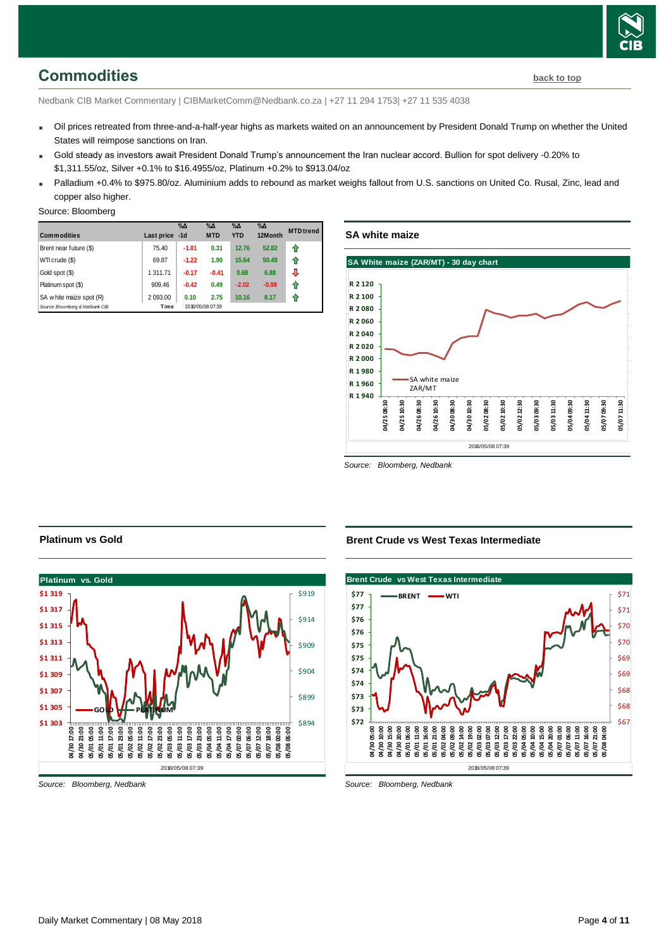# <span id="page-3-0"></span>**Commodities [back to top](#page-0-0)**

Nedbank CIB Market Commentary | CIBMarketComm@Nedbank.co.za | +27 11 294 1753| +27 11 535 4038

- Oil prices retreated from three-and-a-half-year highs as markets waited on an announcement by President Donald Trump on whether the United States will reimpose sanctions on Iran.
- Gold steady as investors await President Donald Trump's announcement the Iran nuclear accord. Bullion for spot delivery -0.20% to \$1,311.55/oz, Silver +0.1% to \$16.4955/oz, Platinum +0.2% to \$913.04/oz
- Palladium +0.4% to \$975.80/oz. Aluminium adds to rebound as market weighs fallout from U.S. sanctions on United Co. Rusal, Zinc, lead and copper also higher.

#### Source: Bloomberg

| <b>Commodities</b>              | Last price | $\%$ $\Delta$<br>$-1d$ | $\%$ $\Delta$<br><b>MTD</b> | $\%$ $\Delta$<br><b>YTD</b> | $\%$ $\Delta$<br>12Month | <b>MTD</b> trend |
|---------------------------------|------------|------------------------|-----------------------------|-----------------------------|--------------------------|------------------|
| Brent near future (\$)          | 75.40      | $-1.01$                | 0.31                        | 12.76                       | 52.82                    | 11               |
| WTI crude (\$)                  | 69.87      | $-1.22$                | 1.90                        | 15.64                       | 50.48                    | ⇑                |
| Gold spot (\$)                  | 1 311.71   | $-0.17$                | $-0.41$                     | 0.68                        | 6.88                     | ⊕                |
| Platinum spot (\$)              | 909.46     | $-0.42$                | 0.49                        | $-2.02$                     | $-0.98$                  | ⇑                |
| SA w hite maize spot (R)        | 2 093.00   | 0.10                   | 2.75                        | 10.16                       | 8.17                     | ⇑                |
| Source: Bloomberg & Nedbank CIB | Time       |                        | 2018/05/08 07:39            |                             |                          |                  |

## **SA white maize**



*Source: Bloomberg, Nedbank*

### **Platinum vs Gold**



*Source: Bloomberg, Nedbank*

**Brent Crude vs West Texas Intermediate**



*Source: Bloomberg, Nedbank*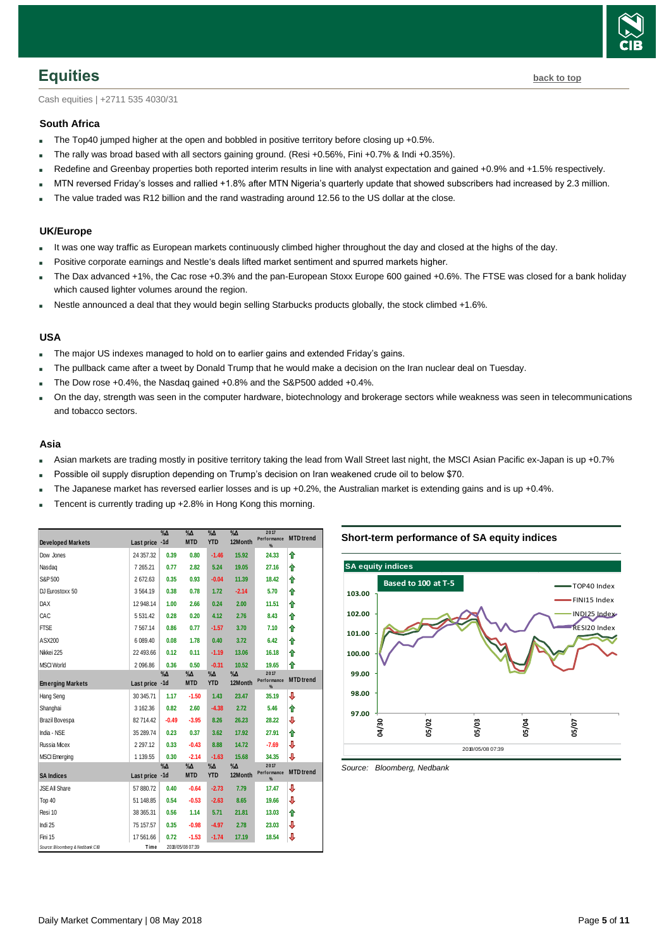

<span id="page-4-0"></span>Cash equities | +2711 535 4030/31

#### **South Africa**

- The Top40 jumped higher at the open and bobbled in positive territory before closing up +0.5%.
- The rally was broad based with all sectors gaining ground. (Resi +0.56%, Fini +0.7% & Indi +0.35%).
- Redefine and Greenbay properties both reported interim results in line with analyst expectation and gained +0.9% and +1.5% respectively.
- MTN reversed Friday's losses and rallied +1.8% after MTN Nigeria's quarterly update that showed subscribers had increased by 2.3 million.
- The value traded was R12 billion and the rand wastrading around 12.56 to the US dollar at the close.

#### **UK/Europe**

- It was one way traffic as European markets continuously climbed higher throughout the day and closed at the highs of the day.
- Positive corporate earnings and Nestle's deals lifted market sentiment and spurred markets higher.
- The Dax advanced +1%, the Cac rose +0.3% and the pan-European Stoxx Europe 600 gained +0.6%. The FTSE was closed for a bank holiday which caused lighter volumes around the region.
- Nestle announced a deal that they would begin selling Starbucks products globally, the stock climbed +1.6%.

#### **USA**

- The major US indexes managed to hold on to earlier gains and extended Friday's gains.
- The pullback came after a tweet by Donald Trump that he would make a decision on the Iran nuclear deal on Tuesday.
- The Dow rose +0.4%, the Nasdaq gained +0.8% and the S&P500 added +0.4%.
- On the day, strength was seen in the computer hardware, biotechnology and brokerage sectors while weakness was seen in telecommunications and tobacco sectors.

#### **Asia**

- Asian markets are trading mostly in positive territory taking the lead from Wall Street last night, the MSCI Asian Pacific ex-Japan is up +0.7%
- Possible oil supply disruption depending on Trump's decision on Iran weakened crude oil to below \$70.
- The Japanese market has reversed earlier losses and is up +0.2%, the Australian market is extending gains and is up +0.4%.
- Tencent is currently trading up +2.8% in Hong Kong this morning.

|                                 |                | $\%$ $\Delta$ | $\% \Delta$                 | $\%$ $\Delta$               | $\%$ $\Delta$            | 2017<br>Performance | <b>MTD</b> trend |
|---------------------------------|----------------|---------------|-----------------------------|-----------------------------|--------------------------|---------------------|------------------|
| <b>Developed Markets</b>        | Last price -1d |               | <b>MTD</b>                  | <b>YTD</b>                  | 12Month                  | $\frac{9}{4}$       |                  |
| Dow Jones                       | 24 357.32      | 0.39          | 0.80                        | $-1.46$                     | 15.92                    | 24.33               | ↟                |
| Nasdag                          | 7 265.21       | 0.77          | 2.82                        | 5.24                        | 19.05                    | 27.16               | ↟                |
| S&P 500                         | 2672.63        | 0.35          | 0.93                        | $-0.04$                     | 11.39                    | 18.42               | ♠                |
| DJ Eurostoxx 50                 | 3564.19        | 0.38          | 0.78                        | 1.72                        | $-2.14$                  | 5.70                | ♠                |
| <b>DAX</b>                      | 12 948.14      | 1.00          | 2.66                        | 0.24                        | 2.00                     | 11.51               | ↟                |
| CAC                             | 5 5 3 1 4 2    | 0.28          | 0.20                        | 4.12                        | 2.76                     | 8.43                | ↟                |
| <b>FTSE</b>                     | 7567.14        | 0.86          | 0.77                        | $-1.57$                     | 3.70                     | 7.10                | ↟                |
| ASX200                          | 6 089.40       | 0.08          | 1.78                        | 0.40                        | 3.72                     | 6.42                | ↟                |
| Nikkei 225                      | 22 493.66      | 0.12          | 0.11                        | $-1.19$                     | 13.06                    | 16.18               | ↟                |
| <b>MSCI World</b>               | 2096.86        | 0.36          | 0.50                        | $-0.31$                     | 10.52                    | 19.65               | ↟                |
| <b>Emerging Markets</b>         | Last price -1d | $\% \Delta$   | $\%$ $\Delta$<br><b>MTD</b> | %Δ<br><b>YTD</b>            | $\%$ $\Delta$<br>12Month | 2017<br>Performance | <b>MTD</b> trend |
| Hang Seng                       | 30 345.71      | 1.17          | $-1.50$                     | 1.43                        | 23.47                    | %<br>35.19          | ⇩                |
|                                 |                |               |                             |                             |                          |                     |                  |
| Shanghai                        | 3 162.36       | 0.82          | 2.60                        | $-4.38$                     | 2.72                     | 5.46                | ⇑                |
| Brazil Bovespa                  | 82 714.42      | $-0.49$       | $-3.95$                     | 8.26                        | 26.23                    | 28.22               | ⇩                |
| India - NSE                     | 35 289.74      | 0.23          | 0.37                        | 3.62                        | 17.92                    | 27.91               | ↟                |
| Russia Micex                    | 2 2 9 7 . 1 2  | 0.33          | $-0.43$                     | 8.88                        | 14.72                    | $-7.69$             | ⇩                |
| <b>MSCI</b> Emerging            | 1 139.55       | 0.30          | $-2.14$                     | $-1.63$                     | 15.68                    | 34.35               | ⇩                |
|                                 |                | $\%$ $\Delta$ | $\%$ $\Delta$<br><b>MTD</b> | $\%$ $\Delta$<br><b>YTD</b> | $\%$ $\Delta$<br>12Month | 2017<br>Performance | <b>MTD</b> trend |
| <b>SA Indices</b>               | Last price -1d |               |                             |                             |                          | %                   |                  |
| JSE All Share                   | 57 880.72      | 0.40          | $-0.64$                     | $-2.73$                     | 7.79                     | 17.47               | ⇩                |
| Top 40                          | 51 148.85      | 0.54          | $-0.53$                     | $-2.63$                     | 8.65                     | 19.66               | ⇩                |
| Resi 10                         | 38 365.31      | 0.56          | 1.14                        | 5.71                        | 21.81                    | 13.03               | ⇑                |
| Indi 25                         | 75 157.57      | 0.35          | $-0.98$                     | $-4.97$                     | 2.78                     | 23.03               | ⇩                |
| Fini 15                         | 17 561.66      | 0.72          | $-1.53$                     | $-1.74$                     | 17.19                    | 18.54               | ⇩                |
| Source: Bloomberg & Nedbank CIB | Time           |               | 2018/05/08 07:39            |                             |                          |                     |                  |

#### **Short-term performance of SA equity indices**



<span id="page-4-1"></span>*Source: Bloomberg, Nedbank*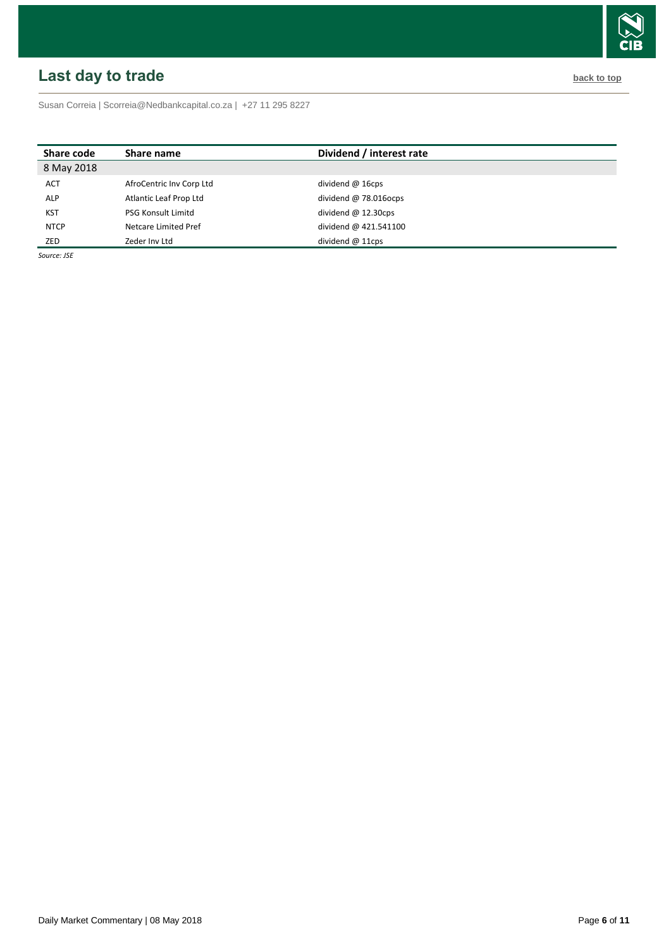# <span id="page-5-0"></span>**Last day to trade back to the contract of the contract of the contract of the contract of the contract of the contract of the contract of the contract of the contract of the contract of the contract of the contract of t**

Susan Correia [| Scorreia@Nedbankcapital.co.za](mailto:Scorreia@Nedbankcapital.co.za) | +27 11 295 8227

| Share code  | Share name                | Dividend / interest rate |
|-------------|---------------------------|--------------------------|
| 8 May 2018  |                           |                          |
| <b>ACT</b>  | AfroCentric Inv Corp Ltd  | dividend $@$ 16cps       |
| <b>ALP</b>  | Atlantic Leaf Prop Ltd    | dividend $@78.016$ ocps  |
| <b>KST</b>  | <b>PSG Konsult Limitd</b> | dividend $@$ 12.30cps    |
| <b>NTCP</b> | Netcare Limited Pref      | dividend @ 421.541100    |
| ZED         | Zeder Inv Ltd             | dividend $@11\text{cps}$ |

*Source: JSE*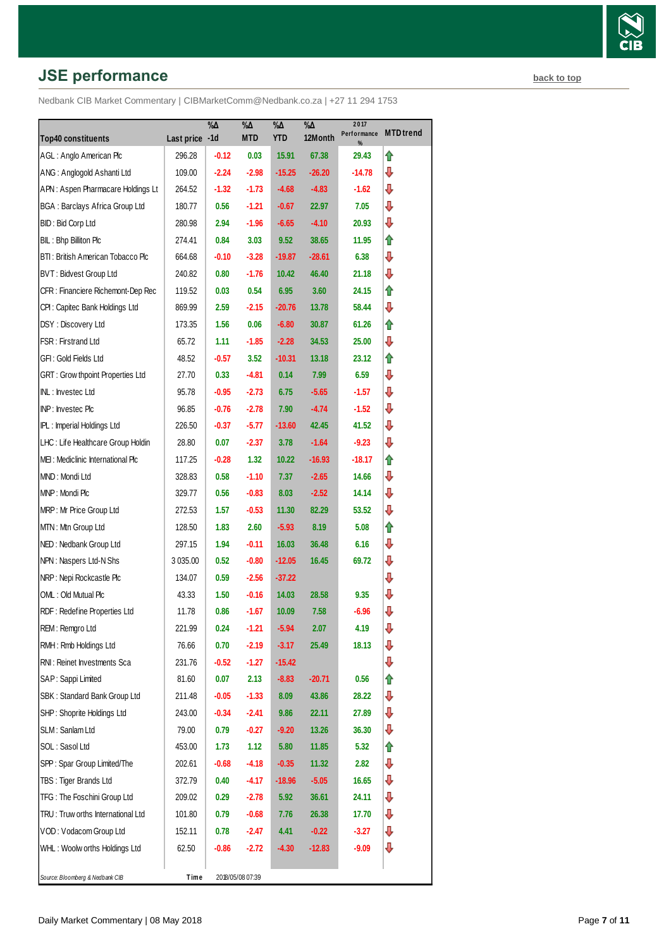# **JSE performance [back to top](#page-0-0) back to top**

| <b>Top40 constituents</b>               |                | $\% \Delta$ | %Δ<br><b>MTD</b> | $\% \Delta$<br><b>YTD</b> | $\% \Delta$<br>12Month | 2017<br>Performance | <b>MTD</b> trend |
|-----------------------------------------|----------------|-------------|------------------|---------------------------|------------------------|---------------------|------------------|
| AGL: Anglo American Plc                 | Last price -1d |             |                  |                           |                        | %                   |                  |
|                                         | 296.28         | $-0.12$     | 0.03             | 15.91                     | 67.38                  | 29.43               | ⇑                |
| ANG: Anglogold Ashanti Ltd              | 109.00         | $-2.24$     | $-2.98$          | $-15.25$                  | $-26.20$               | -14.78              | ⇩                |
| APN: Aspen Pharmacare Holdings Lt       | 264.52         | $-1.32$     | $-1.73$          | $-4.68$                   | $-4.83$                | -1.62               | ⇩                |
| <b>BGA: Barclays Africa Group Ltd</b>   | 180.77         | 0.56        | $-1.21$          | $-0.67$                   | 22.97                  | 7.05                | ⇩                |
| BID: Bid Corp Ltd                       | 280.98         | 2.94        | -1.96            | -6.65                     | $-4.10$                | 20.93               | ⇩                |
| BIL: Bhp Billiton Plc                   | 274.41         | 0.84        | 3.03             | 9.52                      | 38.65                  | 11.95               | ⇑                |
| BTI: British American Tobacco Plc       | 664.68         | $-0.10$     | $-3.28$          | $-19.87$                  | $-28.61$               | 6.38                | ⇩                |
| BVT: Bidvest Group Ltd                  | 240.82         | 0.80        | $-1.76$          | 10.42                     | 46.40                  | 21.18               | ⇩                |
| CFR : Financiere Richemont-Dep Rec      | 119.52         | 0.03        | 0.54             | 6.95                      | 3.60                   | 24.15               | ⇑                |
| CPI : Capitec Bank Holdings Ltd         | 869.99         | 2.59        | $-2.15$          | $-20.76$                  | 13.78                  | 58.44               | ⊕                |
| DSY: Discovery Ltd                      | 173.35         | 1.56        | 0.06             | $-6.80$                   | 30.87                  | 61.26               | ⇑                |
| FSR: Firstrand Ltd                      | 65.72          | 1.11        | $-1.85$          | $-2.28$                   | 34.53                  | 25.00               | ⇩                |
| GFI : Gold Fields Ltd                   | 48.52          | $-0.57$     | 3.52             | $-10.31$                  | 13.18                  | 23.12               | ⇑                |
| <b>GRT: Grow thpoint Properties Ltd</b> | 27.70          | 0.33        | $-4.81$          | 0.14                      | 7.99                   | 6.59                | ⇩                |
| INL: Investec Ltd                       | 95.78          | $-0.95$     | $-2.73$          | 6.75                      | $-5.65$                | $-1.57$             | ⊕                |
| INP: Investec Plc                       | 96.85          | $-0.76$     | $-2.78$          | 7.90                      | $-4.74$                | -1.52               | ⇩                |
| <b>IPL:</b> Imperial Holdings Ltd       | 226.50         | $-0.37$     | $-5.77$          | $-13.60$                  | 42.45                  | 41.52               | ⊕                |
| LHC: Life Healthcare Group Holdin       | 28.80          | 0.07        | $-2.37$          | 3.78                      | $-1.64$                | $-9.23$             | ⇩                |
| MEI: Mediclinic International Plc       | 117.25         | $-0.28$     | 1.32             | 10.22                     | $-16.93$               | $-18.17$            | ⇑                |
| MND: Mondi Ltd                          | 328.83         | 0.58        | $-1.10$          | 7.37                      | $-2.65$                | 14.66               | ⇩                |
| MNP: Mondi Plc                          | 329.77         | 0.56        | $-0.83$          | 8.03                      | $-2.52$                | 14.14               | ⊕                |
| MRP: Mr Price Group Ltd                 | 272.53         | 1.57        | $-0.53$          | 11.30                     | 82.29                  | 53.52               | ⇩                |
| MTN: Mtn Group Ltd                      | 128.50         | 1.83        | 2.60             | $-5.93$                   | 8.19                   | 5.08                | ⇑                |
| NED: Nedbank Group Ltd                  | 297.15         | 1.94        | $-0.11$          | 16.03                     | 36.48                  | 6.16                | ⇩                |
| NPN: Naspers Ltd-N Shs                  | 3 035.00       | 0.52        | $-0.80$          | $-12.05$                  | 16.45                  | 69.72               | ⊕                |
| NRP: Nepi Rockcastle Plc                | 134.07         | 0.59        | $-2.56$          | $-37.22$                  |                        |                     | ⇩                |
| OML: Old Mutual Plc                     | 43.33          | 1.50        | $-0.16$          | 14.03                     | 28.58                  | 9.35                | ⇩                |
| RDF : Redefine Properties Ltd           | 11.78          | 0.86        | $-1.67$          | 10.09                     | 7.58                   | $-6.96$             | ⊕                |
| REM: Remgro Ltd                         | 221.99         | 0.24        | $-1.21$          | $-5.94$                   | 2.07                   | 4.19                | ₽                |
| RMH: Rmb Holdings Ltd                   | 76.66          | 0.70        | $-2.19$          | $-3.17$                   | 25.49                  | 18.13               | ₽                |
| RNI: Reinet Investments Sca             | 231.76         | $-0.52$     | $-1.27$          | $-15.42$                  |                        |                     | ⊕                |
| SAP : Sappi Limited                     | 81.60          | 0.07        | 2.13             | $-8.83$                   | $-20.71$               | 0.56                | ⇑                |
| SBK: Standard Bank Group Ltd            | 211.48         | $-0.05$     | $-1.33$          | 8.09                      | 43.86                  | 28.22               | ₽                |
| SHP: Shoprite Holdings Ltd              | 243.00         | $-0.34$     | $-2.41$          | 9.86                      | 22.11                  | 27.89               | ₽                |
| SLM: Sanlam Ltd                         | 79.00          | 0.79        | $-0.27$          | $-9.20$                   | 13.26                  | 36.30               | ⊕                |
| SOL : Sasol Ltd                         | 453.00         | 1.73        | 1.12             | 5.80                      | 11.85                  | 5.32                | ⇑                |
| SPP: Spar Group Limited/The             | 202.61         | $-0.68$     | $-4.18$          | $-0.35$                   | 11.32                  | 2.82                | ⊕                |
| TBS: Tiger Brands Ltd                   | 372.79         | 0.40        | $-4.17$          | -18.96                    | $-5.05$                | 16.65               | ⊕                |
| TFG: The Foschini Group Ltd             | 209.02         | 0.29        | $-2.78$          | 5.92                      | 36.61                  | 24.11               | ⊕                |
| TRU: Truw orths International Ltd       | 101.80         | 0.79        | $-0.68$          | 7.76                      | 26.38                  | 17.70               | ⇩                |
| VOD: Vodacom Group Ltd                  | 152.11         | 0.78        | $-2.47$          | 4.41                      | $-0.22$                | $-3.27$             | ⊕                |
| WHL: Woolw orths Holdings Ltd           | 62.50          | $-0.86$     | $-2.72$          | -4.30                     | $-12.83$               | $-9.09$             | ⇩                |
| Source: Bloomberg & Nedbank CIB         | Time           |             | 2018/05/08 07:39 |                           |                        |                     |                  |
|                                         |                |             |                  |                           |                        |                     |                  |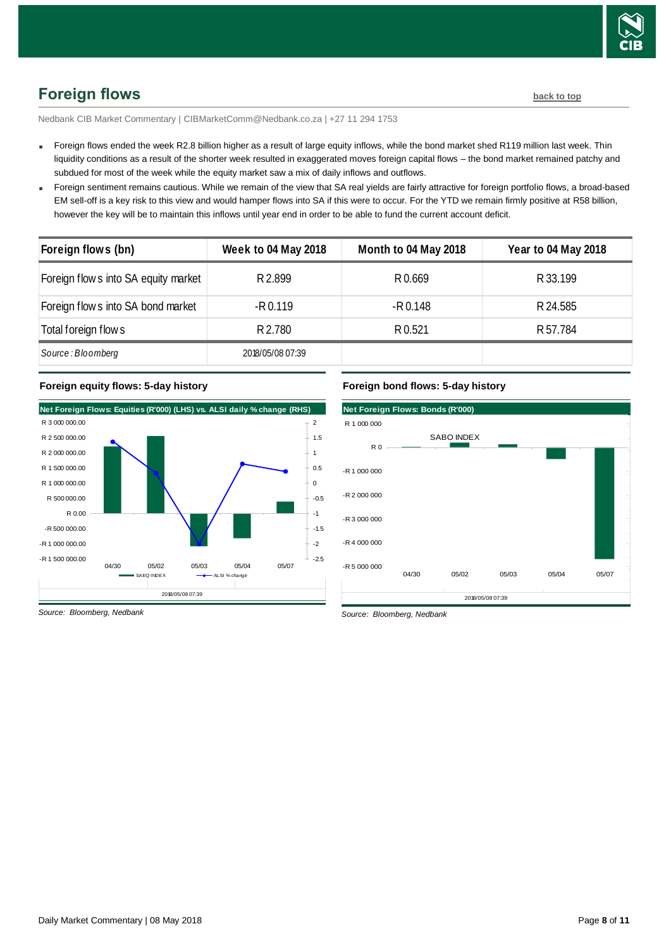

<span id="page-7-0"></span>Nedbank CIB Market Commentary | CIBMarketComm@Nedbank.co.za | +27 11 294 1753

- Foreign flows ended the week R2.8 billion higher as a result of large equity inflows, while the bond market shed R119 million last week. Thin liquidity conditions as a result of the shorter week resulted in exaggerated moves foreign capital flows – the bond market remained patchy and subdued for most of the week while the equity market saw a mix of daily inflows and outflows.
- Foreign sentiment remains cautious. While we remain of the view that SA real yields are fairly attractive for foreign portfolio flows, a broad-based EM sell-off is a key risk to this view and would hamper flows into SA if this were to occur. For the YTD we remain firmly positive at R58 billion, however the key will be to maintain this inflows until year end in order to be able to fund the current account deficit.

| Foreign flows (bn)                   | <b>Week to 04 May 2018</b> | Month to 04 May 2018 | <b>Year to 04 May 2018</b> |
|--------------------------------------|----------------------------|----------------------|----------------------------|
| Foreign flow s into SA equity market | R 2.899                    | R 0.669              | R 33.199                   |
| Foreign flow s into SA bond market   | $-R 0.119$                 | $-R$ 0.148           | R 24.585                   |
| Total foreign flow s                 | R 2.780                    | R 0.521              | R 57.784                   |
| Source: Bloomberg                    | 2018/05/08 07:39           |                      |                            |

#### **Foreign equity flows: 5-day history**





*Source: Bloomberg, Nedbank*

*Source: Bloomberg, Nedbank*

**Foreign bond flows: 5-day history**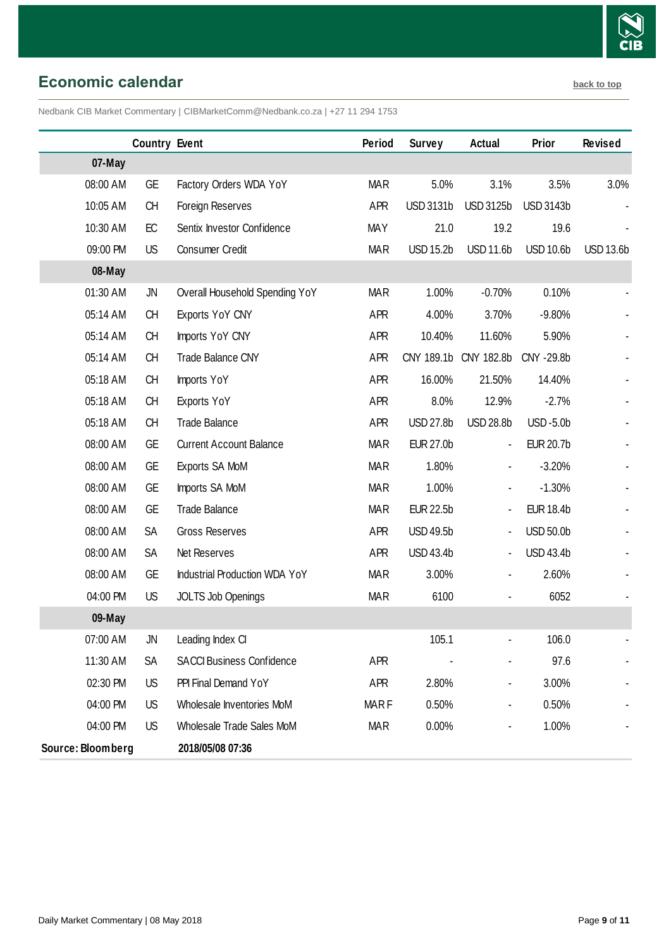

<span id="page-8-0"></span>**Economic calendar [back to top](#page-0-0)** 

Nedbank CIB Market Commentary | CIBMarketComm@Nedbank.co.za | +27 11 294 1753

|                   | <b>Country Event</b> |                                  | Period      | <b>Survey</b>    | Actual                       | Prior            | <b>Revised</b>   |
|-------------------|----------------------|----------------------------------|-------------|------------------|------------------------------|------------------|------------------|
| 07-May            |                      |                                  |             |                  |                              |                  |                  |
| 08:00 AM          | GE                   | Factory Orders WDA YoY           | <b>MAR</b>  | 5.0%             | 3.1%                         | 3.5%             | 3.0%             |
| 10:05 AM          | <b>CH</b>            | Foreign Reserves                 | <b>APR</b>  | <b>USD 3131b</b> | <b>USD 3125b</b>             | <b>USD 3143b</b> |                  |
| 10:30 AM          | EC                   | Sentix Investor Confidence       | <b>MAY</b>  | 21.0             | 19.2                         | 19.6             |                  |
| 09:00 PM          | US                   | Consumer Credit                  | <b>MAR</b>  | <b>USD 15.2b</b> | <b>USD 11.6b</b>             | <b>USD 10.6b</b> | <b>USD 13.6b</b> |
| 08-May            |                      |                                  |             |                  |                              |                  |                  |
| 01:30 AM          | JN                   | Overall Household Spending YoY   | <b>MAR</b>  | 1.00%            | $-0.70%$                     | 0.10%            |                  |
| 05:14 AM          | <b>CH</b>            | Exports YoY CNY                  | <b>APR</b>  | 4.00%            | 3.70%                        | $-9.80%$         |                  |
| 05:14 AM          | <b>CH</b>            | Imports YoY CNY                  | <b>APR</b>  | 10.40%           | 11.60%                       | 5.90%            |                  |
| 05:14 AM          | <b>CH</b>            | Trade Balance CNY                | <b>APR</b>  |                  | CNY 189.1b CNY 182.8b        | CNY -29.8b       |                  |
| 05:18 AM          | <b>CH</b>            | Imports YoY                      | <b>APR</b>  | 16.00%           | 21.50%                       | 14.40%           |                  |
| 05:18 AM          | <b>CH</b>            | Exports YoY                      | <b>APR</b>  | 8.0%             | 12.9%                        | $-2.7%$          |                  |
| 05:18 AM          | <b>CH</b>            | <b>Trade Balance</b>             | APR         | <b>USD 27.8b</b> | <b>USD 28.8b</b>             | <b>USD-5.0b</b>  |                  |
| 08:00 AM          | <b>GE</b>            | <b>Current Account Balance</b>   | <b>MAR</b>  | <b>EUR 27.0b</b> | $\blacksquare$               | <b>EUR 20.7b</b> |                  |
| 08:00 AM          | <b>GE</b>            | Exports SA MoM                   | <b>MAR</b>  | 1.80%            | $\blacksquare$               | $-3.20%$         |                  |
| 08:00 AM          | <b>GE</b>            | Imports SA MoM                   | <b>MAR</b>  | 1.00%            |                              | $-1.30%$         |                  |
| 08:00 AM          | <b>GE</b>            | <b>Trade Balance</b>             | <b>MAR</b>  | <b>EUR 22.5b</b> | $\blacksquare$               | <b>EUR 18.4b</b> |                  |
| 08:00 AM          | SA                   | <b>Gross Reserves</b>            | APR         | <b>USD 49.5b</b> | $\qquad \qquad \blacksquare$ | <b>USD 50.0b</b> |                  |
| 08:00 AM          | SA                   | Net Reserves                     | <b>APR</b>  | <b>USD 43.4b</b> | $\blacksquare$               | <b>USD 43.4b</b> |                  |
| 08:00 AM          | <b>GE</b>            | Industrial Production WDA YoY    | <b>MAR</b>  | 3.00%            | $\blacksquare$               | 2.60%            |                  |
| 04:00 PM          | <b>US</b>            | JOLTS Job Openings               | <b>MAR</b>  | 6100             |                              | 6052             |                  |
| 09-May            |                      |                                  |             |                  |                              |                  |                  |
| 07:00 AM          | JN                   | Leading Index CI                 |             | 105.1            |                              | 106.0            |                  |
| 11:30 AM          | SA                   | <b>SACCI Business Confidence</b> | APR         |                  |                              | 97.6             |                  |
| 02:30 PM          | US                   | PPI Final Demand YoY             | APR         | 2.80%            |                              | 3.00%            |                  |
| 04:00 PM          | US                   | Wholesale Inventories MoM        | <b>MARF</b> | 0.50%            |                              | 0.50%            |                  |
| 04:00 PM          | US                   | Wholesale Trade Sales MoM        | <b>MAR</b>  | 0.00%            |                              | 1.00%            |                  |
| Source: Bloomberg |                      | 2018/05/08 07:36                 |             |                  |                              |                  |                  |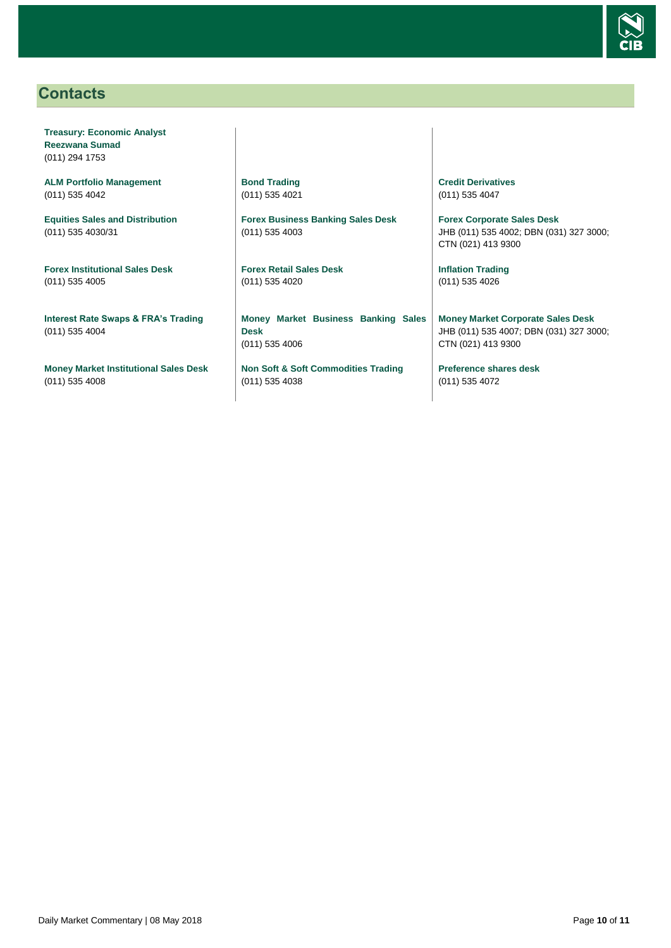

# <span id="page-9-0"></span>**Contacts**

**Treasury: Economic Analyst Reezwana Sumad** (011) 294 1753

**ALM Portfolio Management** (011) 535 4042

**Equities Sales and Distribution** (011) 535 4030/31

**Forex Institutional Sales Desk** (011) 535 4005

**Interest Rate Swaps & FRA's Trading** (011) 535 4004

**Money Market Institutional Sales Desk** (011) 535 4008

**Bond Trading** (011) 535 4021

**Forex Business Banking Sales Desk** (011) 535 4003

**Forex Retail Sales Desk** (011) 535 4020

**Money Market Business Banking Sales Desk** (011) 535 4006

**Non Soft & Soft Commodities Trading** (011) 535 4038

**Credit Derivatives**  (011) 535 4047

**Forex Corporate Sales Desk** JHB (011) 535 4002; DBN (031) 327 3000; CTN (021) 413 9300

**Inflation Trading** (011) 535 4026

**Money Market Corporate Sales Desk** JHB (011) 535 4007; DBN (031) 327 3000; CTN (021) 413 9300

**Preference shares desk** (011) 535 4072